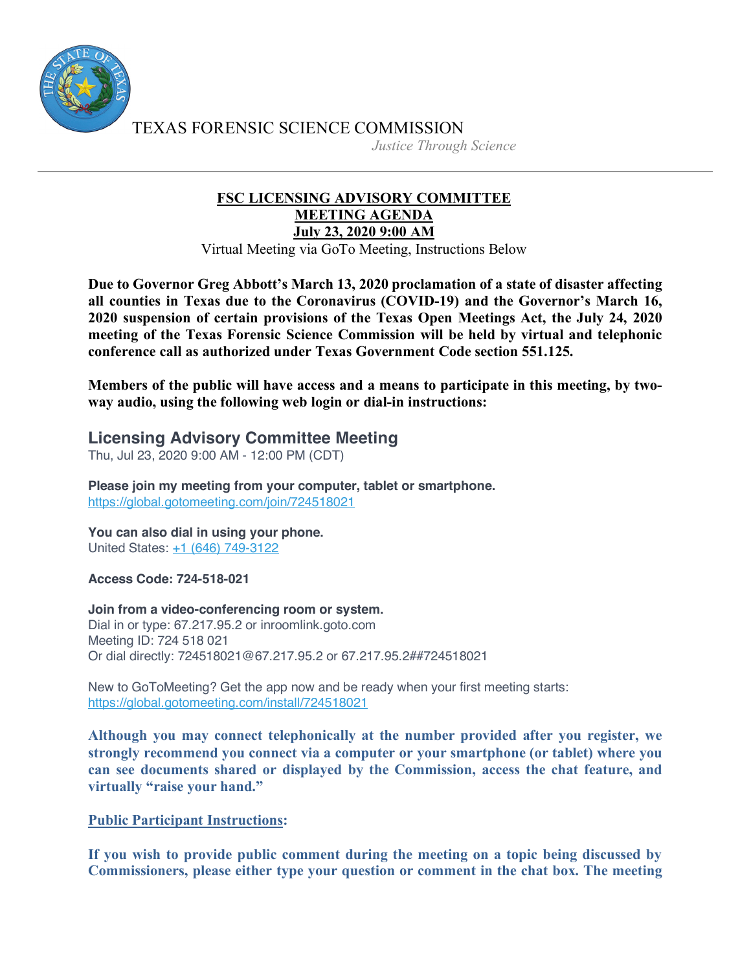

TEXAS FORENSIC SCIENCE COMMISSION

*Justice Through Science*

## **FSC LICENSING ADVISORY COMMITTEE MEETING AGENDA July 23, 2020 9:00 AM**

Virtual Meeting via GoTo Meeting, Instructions Below

**Due to Governor Greg Abbott's March 13, 2020 proclamation of a state of disaster affecting all counties in Texas due to the Coronavirus (COVID-19) and the Governor's March 16, 2020 suspension of certain provisions of the Texas Open Meetings Act, the July 24, 2020 meeting of the Texas Forensic Science Commission will be held by virtual and telephonic conference call as authorized under Texas Government Code section 551.125.**

**Members of the public will have access and a means to participate in this meeting, by twoway audio, using the following web login or dial-in instructions:**

## **Licensing Advisory Committee Meeting**

Thu, Jul 23, 2020 9:00 AM - 12:00 PM (CDT)

**Please join my meeting from your computer, tablet or smartphone.** https://global.gotomeeting.com/join/724518021

**You can also dial in using your phone.** United States: +1 (646) 749-3122

**Access Code: 724-518-021**

**Join from a video-conferencing room or system.** Dial in or type: 67.217.95.2 or inroomlink.goto.com Meeting ID: 724 518 021 Or dial directly: 724518021@67.217.95.2 or 67.217.95.2##724518021

New to GoToMeeting? Get the app now and be ready when your first meeting starts: https://global.gotomeeting.com/install/724518021

**Although you may connect telephonically at the number provided after you register, we strongly recommend you connect via a computer or your smartphone (or tablet) where you can see documents shared or displayed by the Commission, access the chat feature, and virtually "raise your hand."** 

## **Public Participant Instructions:**

**If you wish to provide public comment during the meeting on a topic being discussed by Commissioners, please either type your question or comment in the chat box. The meeting**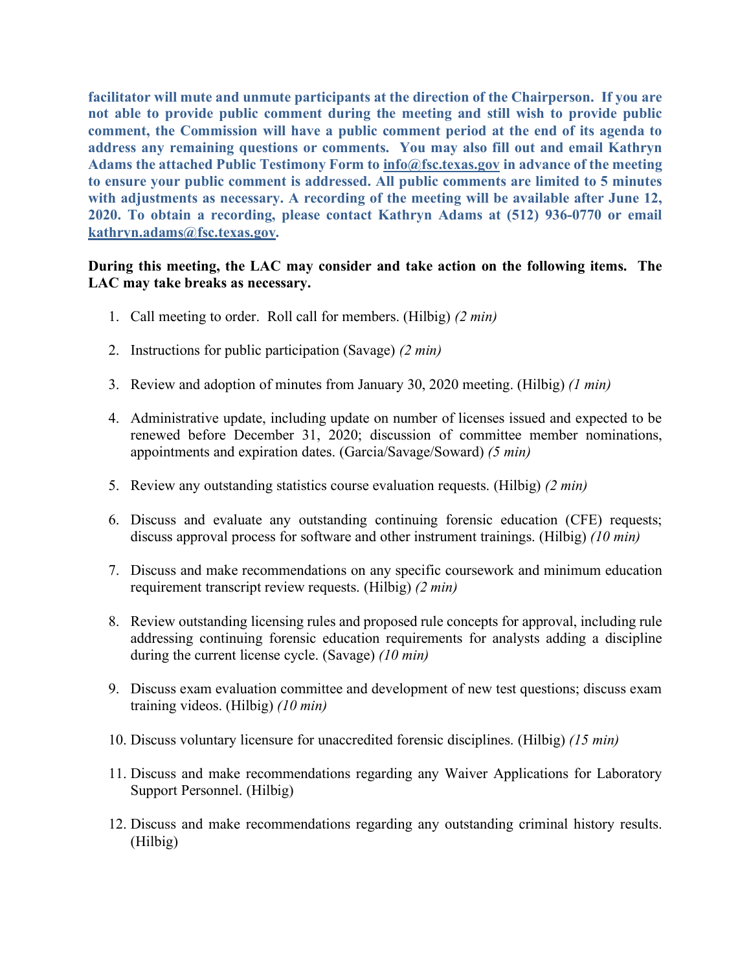**facilitator will mute and unmute participants at the direction of the Chairperson. If you are not able to provide public comment during the meeting and still wish to provide public comment, the Commission will have a public comment period at the end of its agenda to address any remaining questions or comments. You may also fill out and email Kathryn Adams the attached Public Testimony Form to info@fsc.texas.gov in advance of the meeting to ensure your public comment is addressed. All public comments are limited to 5 minutes with adjustments as necessary. A recording of the meeting will be available after June 12, 2020. To obtain a recording, please contact Kathryn Adams at (512) 936-0770 or email kathryn.adams@fsc.texas.gov.**

## **During this meeting, the LAC may consider and take action on the following items. The LAC may take breaks as necessary.**

- 1. Call meeting to order. Roll call for members. (Hilbig) *(2 min)*
- 2. Instructions for public participation (Savage) *(2 min)*
- 3. Review and adoption of minutes from January 30, 2020 meeting. (Hilbig) *(1 min)*
- 4. Administrative update, including update on number of licenses issued and expected to be renewed before December 31, 2020; discussion of committee member nominations, appointments and expiration dates. (Garcia/Savage/Soward) *(5 min)*
- 5. Review any outstanding statistics course evaluation requests. (Hilbig) *(2 min)*
- 6. Discuss and evaluate any outstanding continuing forensic education (CFE) requests; discuss approval process for software and other instrument trainings. (Hilbig) *(10 min)*
- 7. Discuss and make recommendations on any specific coursework and minimum education requirement transcript review requests. (Hilbig) *(2 min)*
- 8. Review outstanding licensing rules and proposed rule concepts for approval, including rule addressing continuing forensic education requirements for analysts adding a discipline during the current license cycle. (Savage) *(10 min)*
- 9. Discuss exam evaluation committee and development of new test questions; discuss exam training videos. (Hilbig) *(10 min)*
- 10. Discuss voluntary licensure for unaccredited forensic disciplines. (Hilbig) *(15 min)*
- 11. Discuss and make recommendations regarding any Waiver Applications for Laboratory Support Personnel. (Hilbig)
- 12. Discuss and make recommendations regarding any outstanding criminal history results. (Hilbig)